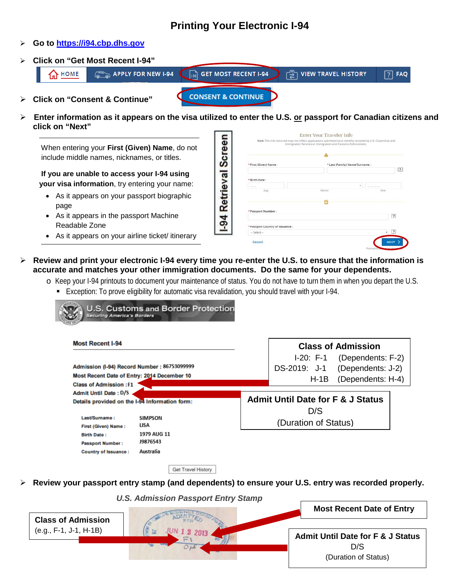# **Printing Your Electronic I-94**

#### **Go to [https://i94.cbp.dhs.gov](https://i94.cbp.dhs.gov/)**

**Click on "Get Most Recent I-94"**



 **Enter information as it appears on the visa utilized to enter the U.S. or passport for Canadian citizens and click on "Next"**

When entering your **First (Given) Name**, do not include middle names, nicknames, or titles.

**If you are unable to access your I-94 using your visa information**, try entering your name:

- As it appears on your passport biographic page
- As it appears in the passport Machine Readable Zone

**CONTRACTOR** 

E

• As it appears on your airline ticket/ itinerary

| * First (Given) Name :           |       | * Last (Family) Name/Surname : |
|----------------------------------|-------|--------------------------------|
|                                  |       | $\mathbb{R}$                   |
| * Birth Date :                   |       |                                |
|                                  |       |                                |
| Day                              | Month | Year                           |
|                                  |       |                                |
|                                  |       |                                |
| * Passport Number:               |       |                                |
|                                  |       | $\boxed{?}$                    |
| * Passport Country of Issuance : |       |                                |
|                                  |       | $\sqrt{2}$                     |

 **Review and print your electronic I-94 every time you re-enter the U.S. to ensure that the information is accurate and matches your other immigration documents. Do the same for your dependents.**

1-94 Retrieval Screen

- o Keep your I-94 printouts to document your maintenance of status. You do not have to turn them in when you depart the U.S.
	- Exception: To prove eligibility for automatic visa revalidation, you should travel with your I-94.

| <b>Most Recent I-94</b>                                |                       |  | <b>Class of Admission</b>                    |                   |  |
|--------------------------------------------------------|-----------------------|--|----------------------------------------------|-------------------|--|
|                                                        |                       |  | I-20: F-1                                    | (Dependents: F-2) |  |
| Admission (I-94) Record Number: 86753099999            |                       |  | DS-2019: J-1                                 | (Dependents: J-2) |  |
| Most Recent Date of Entry: 2014 December 10            |                       |  | $H-1B$                                       | (Dependents: H-4) |  |
| <b>Class of Admission: F1</b>                          |                       |  |                                              |                   |  |
| <b>Admit Until Date: D/S</b>                           |                       |  | <b>Admit Until Date for F &amp; J Status</b> |                   |  |
| Details provided on the I-94 Information form:         |                       |  | D/S                                          |                   |  |
| Last/Surname:                                          | <b>SIMPSON</b>        |  | (Duration of Status)                         |                   |  |
| First (Given) Name:                                    | LISA                  |  |                                              |                   |  |
| <b>Birth Date:</b>                                     | 1979 AUG 11           |  |                                              |                   |  |
|                                                        |                       |  |                                              |                   |  |
| <b>Passport Number:</b><br><b>Country of Issuance:</b> | 19876543<br>Australia |  |                                              |                   |  |

**Review your passport entry stamp (and dependents) to ensure your U.S. entry was recorded properly.**

*U.S. Admission Passport Entry Stamp*